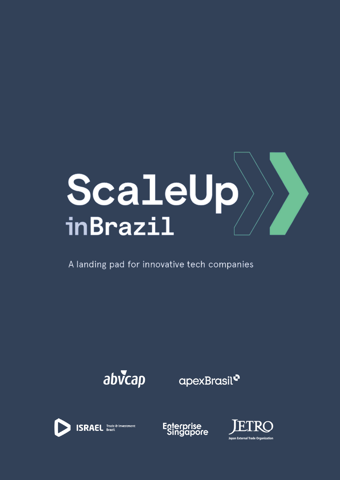

A landing pad for innovative tech companies



apexBrasil<sup>o</sup>





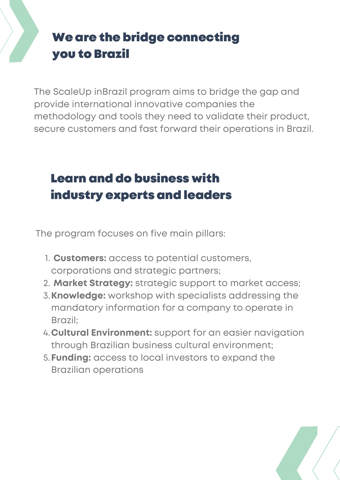# We are the bridge connecting you to Brazil

The ScaleUp inBrazil program aims to bridge the gap and provide international innovative companies the methodology and tools they need to validate their product, secure customers and fast forward their operations in Brazil.

# Learn and do business with industry experts and leaders

The program focuses on five main pillars:

- **Customers:** access to potential customers, 1. corporations and strategic partners;
- **Market Strategy:** strategic support to market access; 2.
- **Knowledge:** workshop with specialists addressing the 3. mandatory information for a company to operate in Brazil;
- **Cultural Environment:** support for an easier navigation 4. through Brazilian business cultural environment;
- **Funding:** access to local investors to expand the 5.Brazilian operations

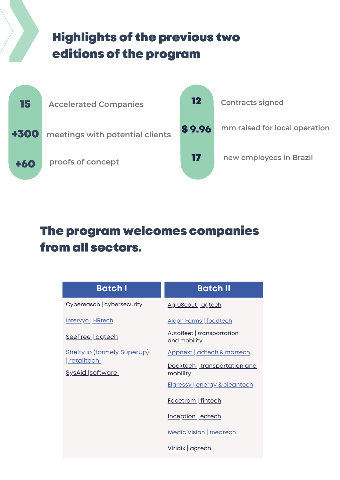## Highlights of the previous two editions of the program



### The program welcomes companies from all sectors.

| <b>Batch I</b>                                   | <b>Batch II</b>                            |
|--------------------------------------------------|--------------------------------------------|
| Cybereason   cybersecurity                       | AgroScout   agtech                         |
| Intervyo   HRtech                                | Aleph Farms   foodtech                     |
| SeeTree   agtech                                 | Autofleet   transportation<br>and mobility |
| <b>Shelfy.io (formely SuperUp)</b><br>retailtech | Appnext   adtech & martech                 |
| <b>SysAid software</b>                           | Docktech   transportation and<br>mobility  |
|                                                  | <b>Elgressy energy &amp; cleantech</b>     |
|                                                  | <b>Facetrom</b> fintech                    |
|                                                  | Inception edtech                           |
|                                                  | <b>Medic Vision   medtech</b>              |
|                                                  | Viridix   agtech                           |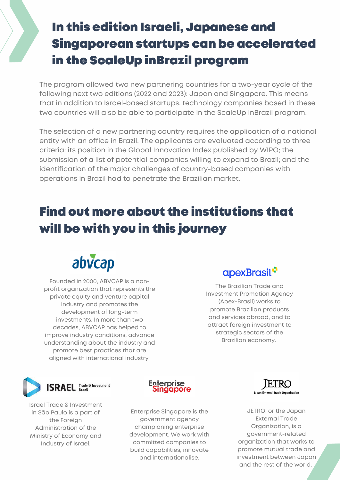# In this edition Israeli, Japanese and Singaporean startups can be accelerated in the ScaleUp inBrazil program

The program allowed two new partnering countries for a two-year cycle of the following next two editions (2022 and 2023): Japan and Singapore. This means that in addition to Israel-based startups, technology companies based in these two countries will also be able to participate in the ScaleUp inBrazil program.

The selection of a new partnering country requires the application of a national entity with an office in Brazil. The applicants are evaluated according to three criteria: its position in the Global Innovation Index published by WIPO; the submission of a list of potential companies willing to expand to Brazil; and the identification of the major challenges of country-based companies with operations in Brazil had to penetrate the Brazilian market.

# Find out more about the institutions that will be with you in this journey



Founded in 2000, ABVCAP is a nonprofit organization that represents the private equity and venture capital industry and promotes the development of long-term investments. In more than two decades, ABVCAP has helped to improve industry conditions, advance understanding about the industry and promote best practices that are aligned with international industry



The Brazilian Trade and Investment Promotion Agency (Apex-Brasil) works to promote Brazilian products and services abroad, and to attract foreign investment to strategic sectors of the Brazilian economy.



Israel Trade & Investment in São Paulo is a part of the Foreign Administration of the Ministry of Economy and Industry of Israel.



Enterprise Singapore is the government agency championing enterprise development. We work with committed companies to build capabilities, innovate and internationalise.



JETRO, or the Japan External Trade Organization, is a government-related organization that works to promote mutual trade and investment between Japan and the rest of the world.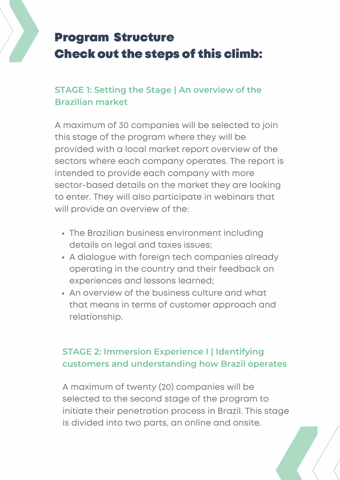# Program Structure Check out the steps of this climb:

### **STAGE 1: Setting the Stage | An overview of the Brazilian market**

A maximum of 30 companies will be selected to join this stage of the program where they will be provided with a local market report overview of the sectors where each company operates. The report is intended to provide each company with more sector-based details on the market they are looking to enter. They will also participate in webinars that will provide an overview of the:

- The Brazilian business environment including details on legal and taxes issues;
- A dialogue with foreign tech companies already operating in the country and their feedback on experiences and lessons learned;
- An overview of the business culture and what that means in terms of customer approach and relationship.

### **STAGE 2: Immersion Experience I | Identifying customers and understanding how Brazil operates**

A maximum of twenty (20) companies will be selected to the second stage of the program to initiate their penetration process in Brazil. This stage is divided into two parts, an online and onsite.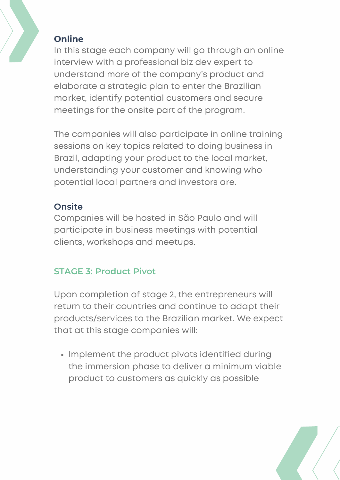#### **Online**

In this stage each company will go through an online interview with a professional biz dev expert to understand more of the company's product and elaborate a strategic plan to enter the Brazilian market, identify potential customers and secure meetings for the onsite part of the program.

The companies will also participate in online training sessions on key topics related to doing business in Brazil, adapting your product to the local market, understanding your customer and knowing who potential local partners and investors are.

#### **Onsite**

Companies will be hosted in São Paulo and will participate in business meetings with potential clients, workshops and meetups.

### **STAGE 3: Product Pivot**

Upon completion of stage 2, the entrepreneurs will return to their countries and continue to adapt their products/services to the Brazilian market. We expect that at this stage companies will:

• Implement the product pivots identified during the immersion phase to deliver a minimum viable product to customers as quickly as possible

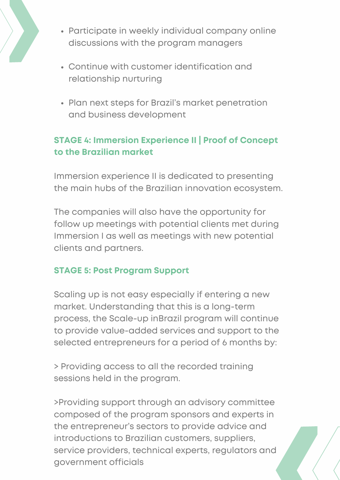

- Participate in weekly individual company online discussions with the program managers
- Continue with customer identification and relationship nurturing
- Plan next steps for Brazil's market penetration and business development

### **STAGE 4: Immersion Experience II | Proof of Concept to the Brazilian market**

Immersion experience II is dedicated to presenting the main hubs of the Brazilian innovation ecosystem.

The companies will also have the opportunity for follow up meetings with potential clients met during Immersion I as well as meetings with new potential clients and partners.

### **STAGE 5: Post Program Support**

Scaling up is not easy especially if entering a new market. Understanding that this is a long-term process, the Scale-up inBrazil program will continue to provide value-added services and support to the selected entrepreneurs for a period of 6 months by:

> Providing access to all the recorded training sessions held in the program.

>Providing support through an advisory committee composed of the program sponsors and experts in the entrepreneur's sectors to provide advice and introductions to Brazilian customers, suppliers, service providers, technical experts, regulators and government officials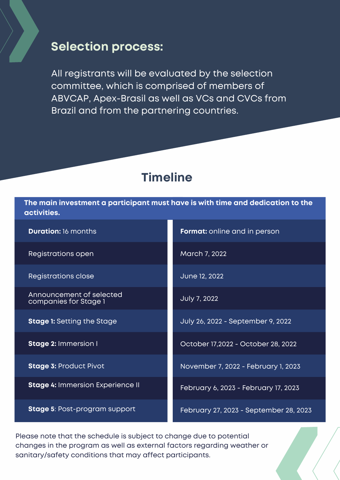### **Selection process:**

All registrants will be evaluated by the selection committee, which is comprised of members of ABVCAP, Apex-Brasil as well as VCs and CVCs from Brazil and from the partnering countries.

### **Timeline**

**The main investment a participant must have is with time and dedication to the activities.**

Registrations open March 7, 2022

Registrations close June 12, 2022

Announcement of selected companies for Stage 1

**Stage 4:** Immersion Experience II

**Stage 5**: Post-program support

**Duration:** 16 months **Format:** online and in person

July 7, 2022

**Stage 1:** Setting the Stage **1.** July 26, 2022 - September 9, 2022

**Stage 2:** Immersion I **Conserversion I** October 17,2022 - October 28, 2022

**Stage 3:** Product Pivot November 7, 2022 - February 1, 2023

February 6, 2023 - February 17, 2023

February 27, 2023 - September 28, 2023

Please note that the schedule is subject to change due to potential changes in the program as well as external factors regarding weather or sanitary/safety conditions that may affect participants.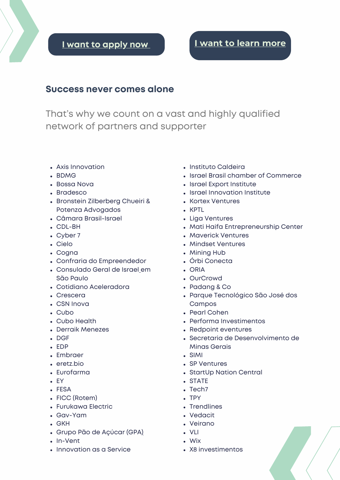### **I want to [apply](https://www.scaleupinbrazil.com/) no[w](https://www.scaleupinbrazil.com/) I want to learn [more](mailto:contato@scaleupinbrazil.com)**

#### **Success never comes alone**

That's why we count on a vast and highly qualified network of partners and supporter

- Axis Innovation
- BDMG
- Bossa Nova
- Bradesco
- Bronstein Zilberberg Chueiri & Potenza Advogados
- Câmara Brasil-Israel
- CDL-BH
- Cyber 7
- Cielo
- Cogna
- Confraria do Empreendedor
- Consulado Geral de Israel [e](https://embassies.gov.il/sao-paulo/Pages/default.aspx)m São Paulo
- Cotidiano Aceleradora
- Crescera
- CSN Inova
- Cubo
- Cubo Health
- Derraik Menezes
- $\cdot$  DGF
- EDP
- Embraer
- eretz.bio
- Eurofarma
- EY
- FESA
- FICC (Rotem)
- Furukawa Electric
- Gav-Yam
- GKH
- Grupo Pão de Açúcar (GP[A\)](https://www.gpabr.com/pt/)
- In-Vent
- Innovation as a Service
- Instituto Caldeira
- Israel Brasil chamber of Commerce
- Israel Export Institute
- Israel Innovation Institute
- Kortex Ventures
- . KPTL
- Liga Ventures
- Mati Haifa Entrepreneurship Center
- Maverick Ventures
- Mindset Ventures
- Mining Hub
- Órbi Conecta
- . ORIA
- OurCrowd
- Padang & Co
- Parque Tecnológico São José dos Campos
- Pearl Cohen
- Performa Investimentos
- Redpoint eventures
- Secretaria de Desenvolvimento de Minas Gerais
- SIMI
- SP Ventures
- StartUp Nation Central
- STATE
- Tech7
- $\cdot$  TPY
- Trendlines
- Vedacit
- Veirano
- VLI
- Wix
- X8 investimentos